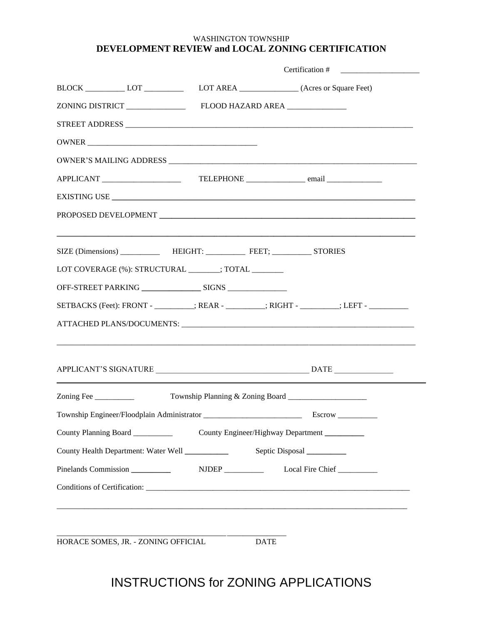## WASHINGTON TOWNSHIP **DEVELOPMENT REVIEW and LOCAL ZONING CERTIFICATION**

|                                                      |  | Certification # $\qquad \qquad$                                                         |
|------------------------------------------------------|--|-----------------------------------------------------------------------------------------|
|                                                      |  | BLOCK ____________ LOT ________________ LOT AREA ________________(Acres or Square Feet) |
|                                                      |  |                                                                                         |
|                                                      |  |                                                                                         |
|                                                      |  |                                                                                         |
|                                                      |  |                                                                                         |
|                                                      |  |                                                                                         |
|                                                      |  |                                                                                         |
|                                                      |  |                                                                                         |
|                                                      |  |                                                                                         |
| LOT COVERAGE (%): STRUCTURAL _______; TOTAL ________ |  |                                                                                         |
|                                                      |  |                                                                                         |
|                                                      |  | SETBACKS (Feet): FRONT - ________; REAR - ________; RIGHT - ________; LEFT - __________ |
|                                                      |  |                                                                                         |
|                                                      |  |                                                                                         |
|                                                      |  |                                                                                         |
| Zoning Fee                                           |  | Township Planning & Zoning Board _____________________                                  |
|                                                      |  |                                                                                         |
| County Planning Board                                |  | County Engineer/Highway Department __________                                           |
|                                                      |  |                                                                                         |
| Pinelands Commission                                 |  | NJDEP ___________ Local Fire Chief _________                                            |
|                                                      |  |                                                                                         |
|                                                      |  |                                                                                         |
|                                                      |  |                                                                                         |
| HORACE SOMES, JR. - ZONING OFFICIAL                  |  | <b>DATE</b>                                                                             |

## INSTRUCTIONS for ZONING APPLICATIONS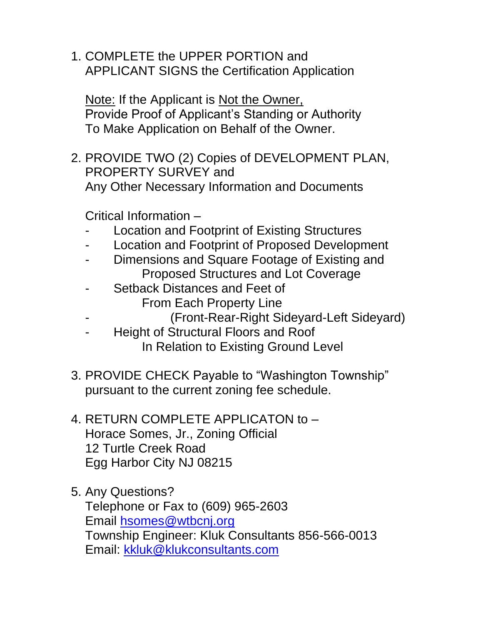1. COMPLETE the UPPER PORTION and APPLICANT SIGNS the Certification Application

Note: If the Applicant is Not the Owner, Provide Proof of Applicant's Standing or Authority To Make Application on Behalf of the Owner.

2. PROVIDE TWO (2) Copies of DEVELOPMENT PLAN, PROPERTY SURVEY and Any Other Necessary Information and Documents

Critical Information –

- Location and Footprint of Existing Structures
- Location and Footprint of Proposed Development
- Dimensions and Square Footage of Existing and Proposed Structures and Lot Coverage
- Setback Distances and Feet of From Each Property Line
	- (Front-Rear-Right Sideyard-Left Sideyard)
- Height of Structural Floors and Roof In Relation to Existing Ground Level
- 3. PROVIDE CHECK Payable to "Washington Township" pursuant to the current zoning fee schedule.
- 4. RETURN COMPLETE APPLICATON to Horace Somes, Jr., Zoning Official 12 Turtle Creek Road Egg Harbor City NJ 08215
- 5. Any Questions? Telephone or Fax to (609) 965-2603 Email [hsomes@wtbcnj.org](mailto:hsomes@wtbcnj.org) Township Engineer: Kluk Consultants 856-566-0013 Email: [kkluk@klukconsultants.com](mailto:kkluk@klukconsultants.com)